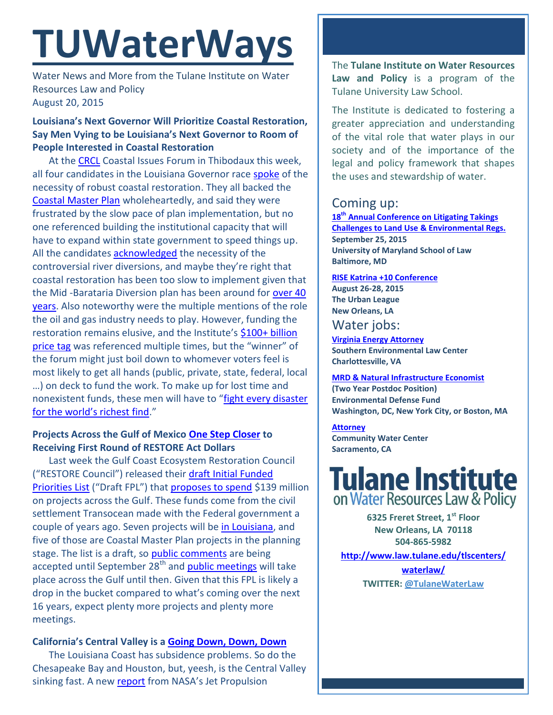# **TUWaterWays**

Water News and More from the Tulane Institute on Water Resources Law and Policy August 20, 2015

# **Louisiana's Next Governor Will Prioritize Coastal Restoration, Say Men Vying to be Louisiana's Next Governor to Room of People Interested in Coastal Restoration**

At th[e CRCL](http://crcl.org/) Coastal Issues Forum in Thibodaux this week, all four candidates in the Louisiana Governor race [spoke](http://www.wafb.com/story/29828886/gubernatorial-candidates-debate-how-to-restore-louisianas-endangered-coastline) of the necessity of robust coastal restoration. They all backed the [Coastal Master Plan](http://coastal.la.gov/a-common-vision/2012-coastal-master-plan/) wholeheartedly, and said they were frustrated by the slow pace of plan implementation, but no one referenced building the institutional capacity that will have to expand within state government to speed things up. All the candidates [acknowledged](http://theadvocate.com/sports/lsu/13214776-171/candidates-back-diversion-plans) the necessity of the controversial river diversions, and maybe they're right that coastal restoration has been too slow to implement given that the Mid -Barataria Diversion plan has been around for over 40 [years.](http://www.mississippiriverdelta.org/blog/2015/08/17/coastal-restoration-and-louisiana-more-than-40-years-of-planning/) Also noteworthy were the multiple mentions of the role the oil and gas industry needs to play. However, funding the restoration remains elusive, and the Institute's \$100+ billion [price tag](http://www.law.tulane.edu/uploadedFiles/Institutes_and_Centers/Water_Resources_Law_and_Policy/Content/Financing%20the%20Future%20Pt%201--The%20Cost.pdf) was referenced multiple times, but the "winner" of the forum might just boil down to whomever voters feel is most likely to get all hands (public, private, state, federal, local …) on deck to fund the work. To make up for lost time and nonexistent funds, these men will have to "[fight every disaster](https://www.youtube.com/watch?v=FLkEdiYHHFg)  [for the world's richest find.](https://www.youtube.com/watch?v=FLkEdiYHHFg)"

# **Projects Across the Gulf of Mexico [One Step Closer](https://www.youtube.com/watch?v=_G_v-i042I4) to Receiving First Round of RESTORE Act Dollars**

Last week the Gulf Coast Ecosystem Restoration Council ("RESTORE Council") released their [draft Initial Funded](https://www.restorethegulf.gov/our-work/draft-initial-funded-priorities-list-draft-fpl)  [Priorities List](https://www.restorethegulf.gov/our-work/draft-initial-funded-priorities-list-draft-fpl) ("Draft FPL") that [proposes to spend](http://eli-ocean.org/gulf/fpl/) \$139 million on projects across the Gulf. These funds come from the civil settlement Transocean made with the Federal government a couple of years ago. Seven projects will be [in Louisiana,](http://theadvocate.com/news/13178619-123/five-louisiana-projects-under-consideration) and five of those are Coastal Master Plan projects in the planning stage. The list is a draft, so [public comments](https://parkplanning.nps.gov/commentForm.cfm?documentID=67759) are being accepted until September  $28<sup>th</sup>$  and [public meetings](https://www.restorethegulf.gov/release/2015/08/12/gulf-coast-ecosystem-restoration-council-releases-draft-initial-funded-priorities) will take place across the Gulf until then. Given that this FPL is likely a drop in the bucket compared to what's coming over the next 16 years, expect plenty more projects and plenty more meetings.

## **California's Central Valley is a [Going Down, Down, Down](https://www.youtube.com/watch?v=_tmzxM_XvQA)**

The Louisiana Coast has subsidence problems. So do the Chesapeake Bay and Houston, but, yeesh, is the Central Valley sinking fast. A ne[w report](http://water.ca.gov/groundwater/docs/NASA_REPORT.pdf) from NASA's Jet Propulsion

The **Tulane Institute on Water Resources Law and Policy** is a program of the Tulane University Law School.

The Institute is dedicated to fostering a greater appreciation and understanding of the vital role that water plays in our society and of the importance of the legal and policy framework that shapes the uses and stewardship of water.

# Coming up:

**18th [Annual Conference on Litigating Takings](http://forms.vermontlaw.edu/elc/landuse/Takings15/)  [Challenges to Land Use & Environmental Regs.](http://forms.vermontlaw.edu/elc/landuse/Takings15/) September 25, 2015 University of Maryland School of Law Baltimore, MD**

### **[RISE Katrina +10 Conference](http://www.risekatrina10.com/RISE-K10-Schedule.pdf)**

**August 26-28, 2015 The Urban League New Orleans, LA** 

# Water jobs:

**[Virginia Energy Attorney](http://vcnva.org/index.php/resources/job-opportunities?limitstart=0) Southern Environmental Law Center Charlottesville, VA**

**[MRD & Natural Infrastructure Economist](https://www.edf.org/jobs/mississippi-river-delta-and-natural-infrastructure-economist-2-year-post-doctoral-position) (Two Year Postdoc Position) Environmental Defense Fund Washington, DC, New York City, or Boston, MA**

**[Attorney](http://www.communitywatercenter.org/career_opportunities) Community Water Center Sacramento, CA**

# **Tulane Institute** on Water Resources Law & Policy

**6325 Freret Street, 1st Floor New Orleans, LA 70118 504-865-5982** 

**[http://www.law.tulane.edu/tlscenters/](http://www.law.tulane.edu/tlscenters/waterlaw/) [waterlaw/](http://www.law.tulane.edu/tlscenters/waterlaw/) TWITTER: [@TulaneWaterLaw](http://www.twitter.com/TulaneWaterLaw)**